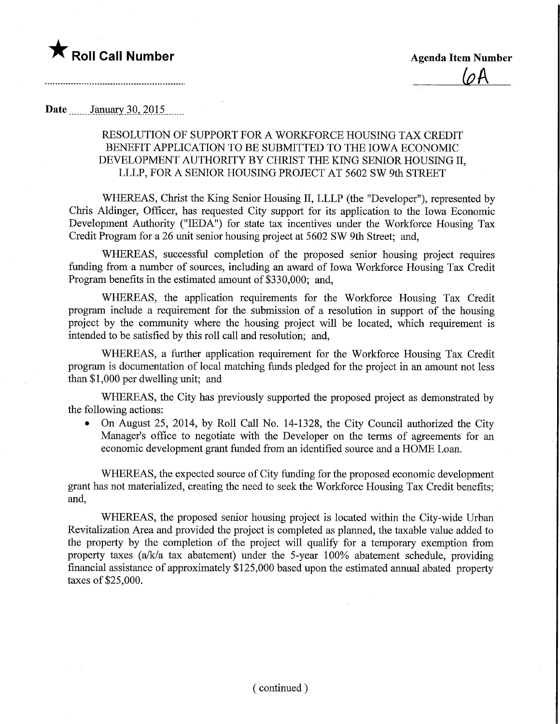

..............................

## Date \_\_\_\_\_\_\_ January 30, 2015

## RESOLUTION OF SUPPORT FOR A WORKFORCE HOUSING TAX CREDIT BENEFIT APPLICATION TO BE SUBMITTED TO THE IOWA ECONOMIC DEVELOPMENT AUTHORITY BY CHRIST THE KING SENIOR HOUSING II, LLLP, FOR A SENIOR HOUSING PROJECT AT 5602 SW 9th STREET

WHEREAS, Christ the King Senior Housing II, LLLP (the "Developer"), represented by Chris Aldinger, Officer, has requested City support for its application to the Iowa Economic Development Authority ("IEDA") for state tax incentives under the Workforce Housing Tax Credit Program for a 26 unit senior housing project at 5602 SW 9th Street; and,

WHEREAS, successful completion of the proposed senior housing project requires funding from a number of sources, including an award of Iowa Workforce Housing Tax Credit Program benefits in the estimated amount of \$330,000; and,

WHEREAS, the application requirements for the Workforce Housing Tax Credit program include a requirement for the submission of a resolution in support of the housing project by the community where the housing project will be located, which requirement is intended to be satisfied by this roll call and resolution; and,

WHEREAS, a further application requirement for the Workforce Housing Tax Credit program is documentation of local matching funds pledged for the project in an amount not less than \$1,000 per dwelling unit; and

WHEREAS, the City has previously supported the proposed project as demonstrated by the following actions:

• On August 25, 2014, by Roll Call No. 14-1328, the City Council authorized the City Manager's office to negotiate with the Developer on the terms of agreements for an economic development grant funded from an identified source and a HOME Loan.

WHEREAS, the expected source of City funding for the proposed economic development grant has not materialized, creating the need to seek the Workforce Housing Tax Credit benefits; and,

WHEREAS, the proposed senior housing project is located within the City-wide Urban Revitalization Area and provided the project is completed as planned, the taxable value added to the property by the completion of the project will qualify for a temporary exemption from property taxes (a/k/a tax abatement) under the 5-year 100% abatement schedule, providing financial assistance of approximately \$125,000 based Upon the estimated annual abated property taxes of \$25,000.